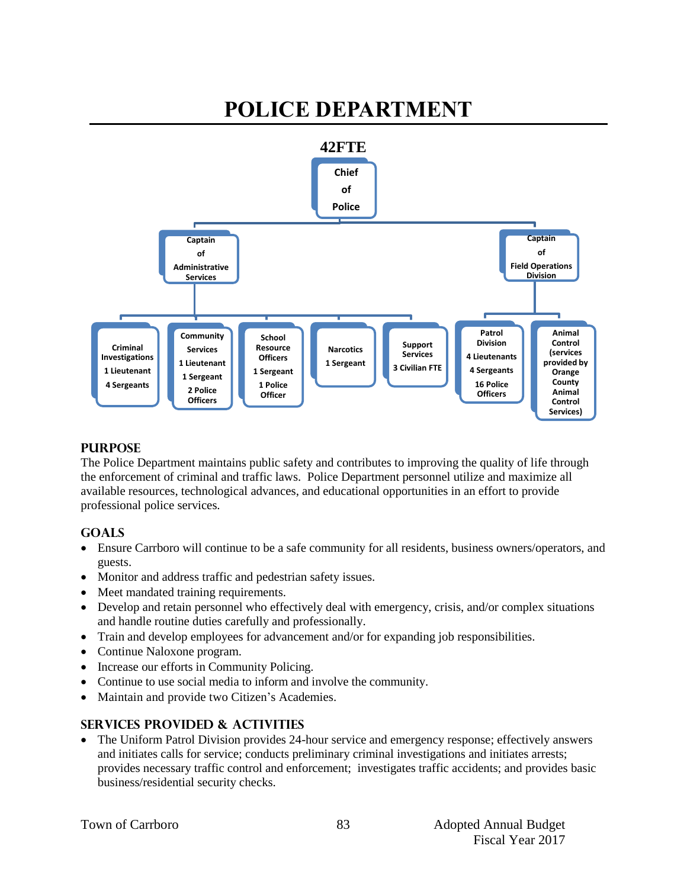#### **POLICE DEPARTMENT 42FTE Chief of Police Captain of Administrative Services Criminal Investigations 1 Lieutenant 4 Sergeants Community Services 1 Lieutenant 1 Sergeant 2 Police Officers School Resource Officers 1 Sergeant 1 Police Officer Narcotics 1 Sergeant Support Services 3 Civilian FTE Captain of Field Operations Division Patrol Division 4 Lieutenants 4 Sergeants 16 Police Officers Animal Control (services provided by Orange County Animal Control Services)**

# **PURPOSE**

The Police Department maintains public safety and contributes to improving the quality of life through the enforcement of criminal and traffic laws. Police Department personnel utilize and maximize all available resources, technological advances, and educational opportunities in an effort to provide professional police services.

# **GOALS**

- Ensure Carrboro will continue to be a safe community for all residents, business owners/operators, and guests.
- Monitor and address traffic and pedestrian safety issues.
- Meet mandated training requirements.
- Develop and retain personnel who effectively deal with emergency, crisis, and/or complex situations and handle routine duties carefully and professionally.
- Train and develop employees for advancement and/or for expanding job responsibilities.
- Continue Naloxone program.
- Increase our efforts in Community Policing.
- Continue to use social media to inform and involve the community.
- Maintain and provide two Citizen's Academies.

# **SERVICES PROVIDED & ACTIVITIES**

 The Uniform Patrol Division provides 24-hour service and emergency response; effectively answers and initiates calls for service; conducts preliminary criminal investigations and initiates arrests; provides necessary traffic control and enforcement; investigates traffic accidents; and provides basic business/residential security checks.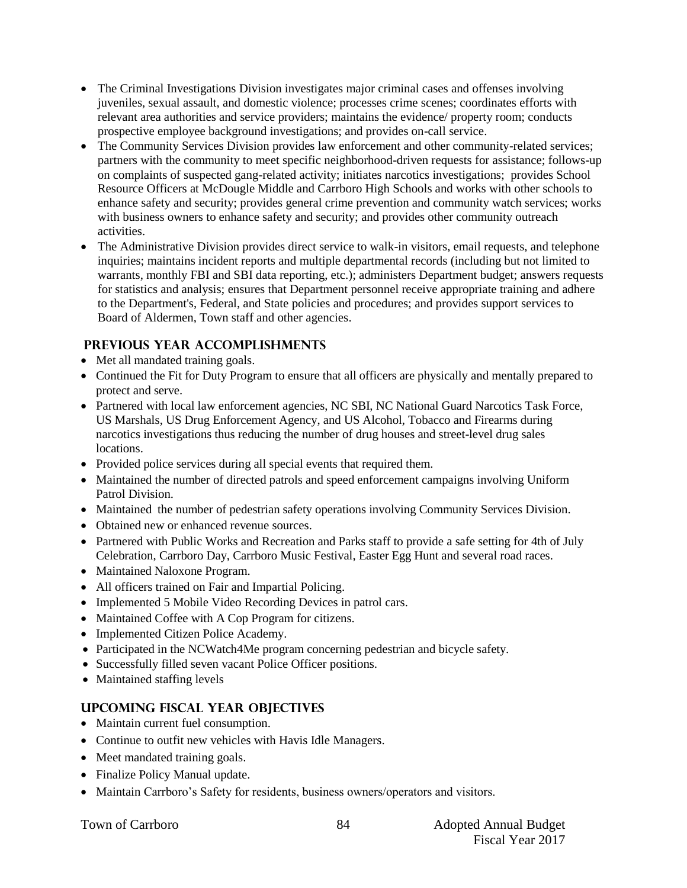- The Criminal Investigations Division investigates major criminal cases and offenses involving juveniles, sexual assault, and domestic violence; processes crime scenes; coordinates efforts with relevant area authorities and service providers; maintains the evidence/ property room; conducts prospective employee background investigations; and provides on-call service.
- The Community Services Division provides law enforcement and other community-related services; partners with the community to meet specific neighborhood-driven requests for assistance; follows-up on complaints of suspected gang-related activity; initiates narcotics investigations; provides School Resource Officers at McDougle Middle and Carrboro High Schools and works with other schools to enhance safety and security; provides general crime prevention and community watch services; works with business owners to enhance safety and security; and provides other community outreach activities.
- The Administrative Division provides direct service to walk-in visitors, email requests, and telephone inquiries; maintains incident reports and multiple departmental records (including but not limited to warrants, monthly FBI and SBI data reporting, etc.); administers Department budget; answers requests for statistics and analysis; ensures that Department personnel receive appropriate training and adhere to the Department's, Federal, and State policies and procedures; and provides support services to Board of Aldermen, Town staff and other agencies.

# **PREVIOUS YEAR ACCOMPLISHMENTS**

- Met all mandated training goals.
- Continued the Fit for Duty Program to ensure that all officers are physically and mentally prepared to protect and serve.
- Partnered with local law enforcement agencies, NC SBI, NC National Guard Narcotics Task Force, US Marshals, US Drug Enforcement Agency, and US Alcohol, Tobacco and Firearms during narcotics investigations thus reducing the number of drug houses and street-level drug sales locations.
- Provided police services during all special events that required them.
- Maintained the number of directed patrols and speed enforcement campaigns involving Uniform Patrol Division.
- Maintained the number of pedestrian safety operations involving Community Services Division.
- Obtained new or enhanced revenue sources.
- Partnered with Public Works and Recreation and Parks staff to provide a safe setting for 4th of July Celebration, Carrboro Day, Carrboro Music Festival, Easter Egg Hunt and several road races.
- Maintained Naloxone Program.
- All officers trained on Fair and Impartial Policing.
- Implemented 5 Mobile Video Recording Devices in patrol cars.
- Maintained Coffee with A Cop Program for citizens.
- Implemented Citizen Police Academy.
- Participated in the NCWatch4Me program concerning pedestrian and bicycle safety.
- Successfully filled seven vacant Police Officer positions.
- Maintained staffing levels

# **UPCOMING FISCAL YEAR OBJECTIVES**

- Maintain current fuel consumption.
- Continue to outfit new vehicles with Havis Idle Managers.
- Meet mandated training goals.
- Finalize Policy Manual update.
- Maintain Carrboro's Safety for residents, business owners/operators and visitors.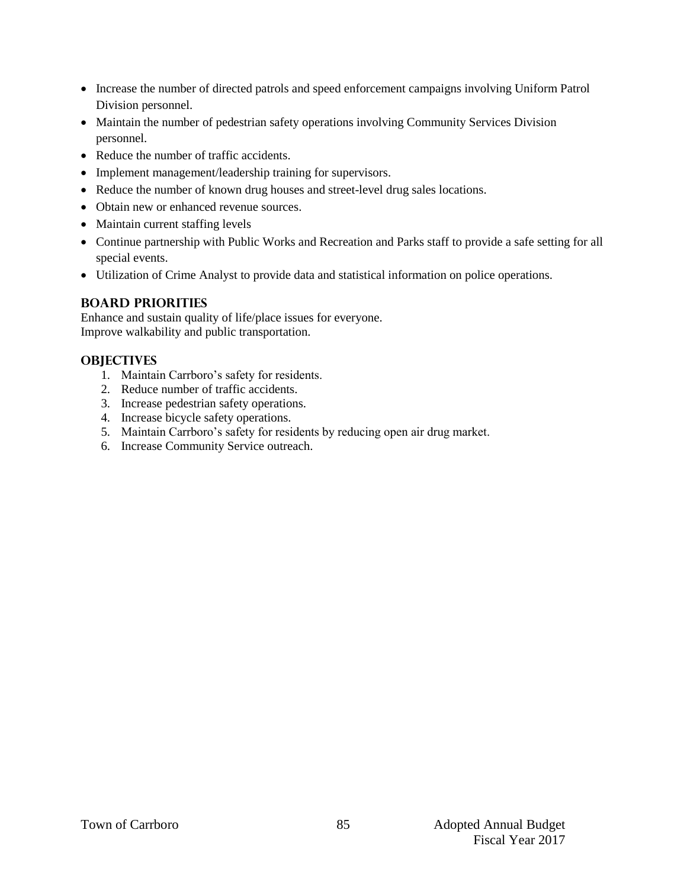- Increase the number of directed patrols and speed enforcement campaigns involving Uniform Patrol Division personnel.
- Maintain the number of pedestrian safety operations involving Community Services Division personnel.
- Reduce the number of traffic accidents.
- Implement management/leadership training for supervisors.
- Reduce the number of known drug houses and street-level drug sales locations.
- Obtain new or enhanced revenue sources.
- Maintain current staffing levels
- Continue partnership with Public Works and Recreation and Parks staff to provide a safe setting for all special events.
- Utilization of Crime Analyst to provide data and statistical information on police operations.

### **BOARD PRIORITIES**

Enhance and sustain quality of life/place issues for everyone. Improve walkability and public transportation.

# **OBJECTIVES**

- 1. Maintain Carrboro's safety for residents.
- 2. Reduce number of traffic accidents.
- 3. Increase pedestrian safety operations.
- 4. Increase bicycle safety operations.
- 5. Maintain Carrboro's safety for residents by reducing open air drug market.
- 6. Increase Community Service outreach.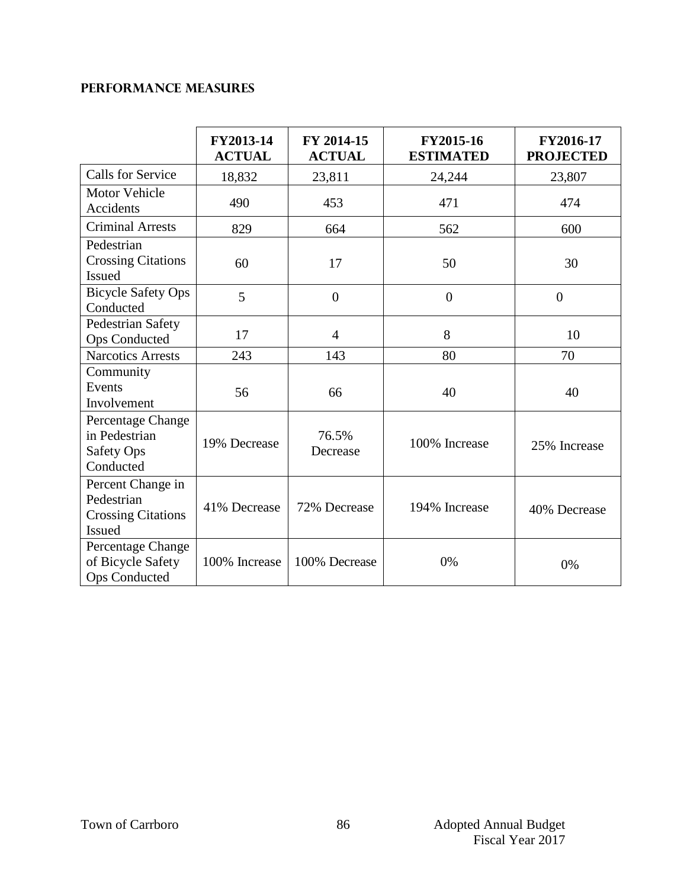# **Performance Measures**

|                                                                               | FY2013-14<br><b>ACTUAL</b> | FY 2014-15<br><b>ACTUAL</b> | FY2015-16<br><b>ESTIMATED</b> | FY2016-17<br><b>PROJECTED</b> |
|-------------------------------------------------------------------------------|----------------------------|-----------------------------|-------------------------------|-------------------------------|
| <b>Calls for Service</b>                                                      | 18,832                     | 23,811                      | 24,244                        | 23,807                        |
| <b>Motor Vehicle</b><br>Accidents                                             | 490                        | 453                         | 471                           | 474                           |
| <b>Criminal Arrests</b>                                                       | 829                        | 664                         | 562                           | 600                           |
| Pedestrian<br><b>Crossing Citations</b><br><b>Issued</b>                      | 60                         | 17                          | 50                            | 30                            |
| <b>Bicycle Safety Ops</b><br>Conducted                                        | 5                          | $\overline{0}$              | $\boldsymbol{0}$              | $\overline{0}$                |
| Pedestrian Safety<br>Ops Conducted                                            | 17                         | $\overline{4}$              | 8                             | 10                            |
| <b>Narcotics Arrests</b>                                                      | 243                        | 143                         | 80                            | 70                            |
| Community<br>Events<br>Involvement                                            | 56                         | 66                          | 40                            | 40                            |
| Percentage Change<br>in Pedestrian<br><b>Safety Ops</b><br>Conducted          | 19% Decrease               | 76.5%<br>Decrease           | 100% Increase                 | 25% Increase                  |
| Percent Change in<br>Pedestrian<br><b>Crossing Citations</b><br><b>Issued</b> | 41% Decrease               | 72% Decrease                | 194% Increase                 | 40% Decrease                  |
| Percentage Change<br>of Bicycle Safety<br><b>Ops Conducted</b>                | 100% Increase              | 100% Decrease               | 0%                            | 0%                            |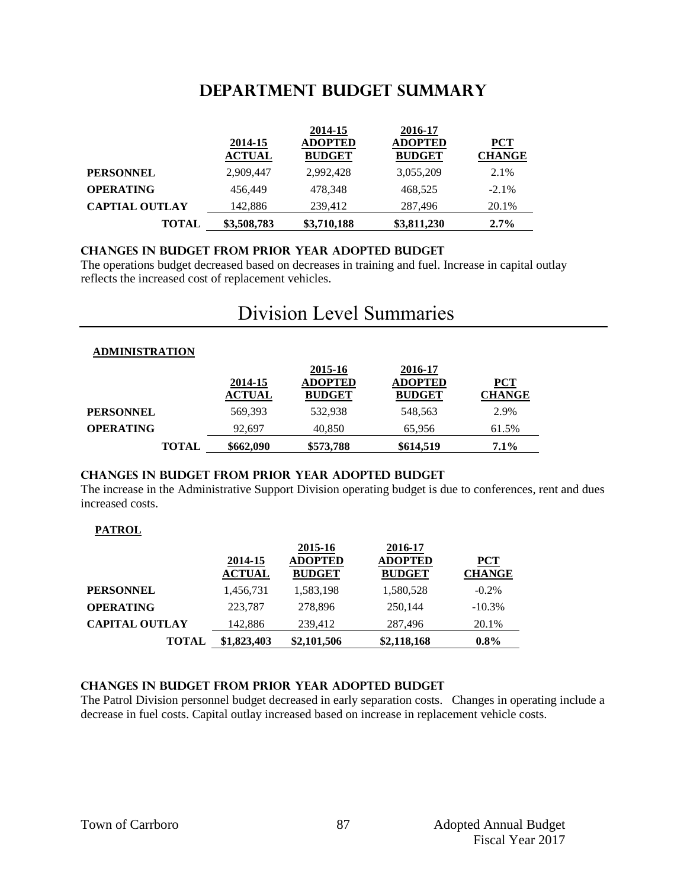# **DEPARTMENT Budget summary**

|                       |                          | 2014-15                         | 2016-17                         |                        |
|-----------------------|--------------------------|---------------------------------|---------------------------------|------------------------|
|                       | 2014-15<br><b>ACTUAL</b> | <b>ADOPTED</b><br><b>BUDGET</b> | <b>ADOPTED</b><br><b>BUDGET</b> | $PCT$<br><b>CHANGE</b> |
| <b>PERSONNEL</b>      | 2.909.447                | 2,992,428                       | 3,055,209                       | 2.1%                   |
| <b>OPERATING</b>      | 456,449                  | 478,348                         | 468.525                         | $-2.1\%$               |
| <b>CAPTIAL OUTLAY</b> | 142,886                  | 239,412                         | 287.496                         | 20.1%                  |
| <b>TOTAL</b>          | \$3,508,783              | \$3,710,188                     | \$3,811,230                     | $2.7\%$                |

#### **CHANGES IN BUDGET from PRIOR YEAR ADOPTED BUDGET**

The operations budget decreased based on decreases in training and fuel. Increase in capital outlay reflects the increased cost of replacement vehicles.

# Division Level Summaries

| <b>ADMINISTRATION</b> |  |
|-----------------------|--|
|                       |  |

|                  | 2014-15<br><b>ACTUAL</b> | 2015-16<br><b>ADOPTED</b><br><b>BUDGET</b> | 2016-17<br><b>ADOPTED</b><br><b>BUDGET</b> | <b>PCT</b><br><b>CHANGE</b> |
|------------------|--------------------------|--------------------------------------------|--------------------------------------------|-----------------------------|
| <b>PERSONNEL</b> | 569,393                  | 532.938                                    | 548.563                                    | 2.9%                        |
| <b>OPERATING</b> | 92.697                   | 40.850                                     | 65.956                                     | 61.5%                       |
| <b>TOTAL</b>     | \$662,090                | \$573,788                                  | \$614,519                                  | $7.1\%$                     |

### **changes in budget from prior year adopted budget**

The increase in the Administrative Support Division operating budget is due to conferences, rent and dues increased costs.

#### **PATROL**

|                       |                          | 2015-16                         | 2016-17                         |                          |
|-----------------------|--------------------------|---------------------------------|---------------------------------|--------------------------|
|                       | 2014-15<br><b>ACTUAL</b> | <b>ADOPTED</b><br><b>BUDGET</b> | <b>ADOPTED</b><br><b>BUDGET</b> | ${PCT}$<br><b>CHANGE</b> |
| <b>PERSONNEL</b>      | 1,456,731                | 1,583,198                       | 1,580,528                       | $-0.2\%$                 |
| <b>OPERATING</b>      | 223,787                  | 278,896                         | 250.144                         | $-10.3\%$                |
| <b>CAPITAL OUTLAY</b> | 142,886                  | 239,412                         | 287,496                         | 20.1%                    |
| <b>TOTAL</b>          | \$1,823,403              | \$2,101,506                     | \$2,118,168                     | $0.8\%$                  |

#### **changes in budget from prior year adopted budget**

The Patrol Division personnel budget decreased in early separation costs. Changes in operating include a decrease in fuel costs. Capital outlay increased based on increase in replacement vehicle costs.